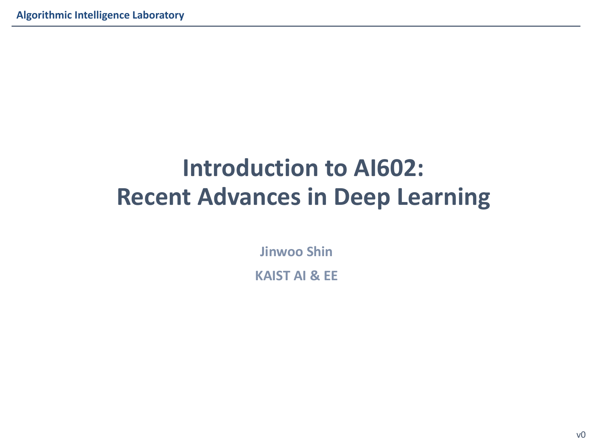# **Introduction to AI602: Recent Advances in Deep Learning**

**Jinwoo Shin KAIST AI & EE**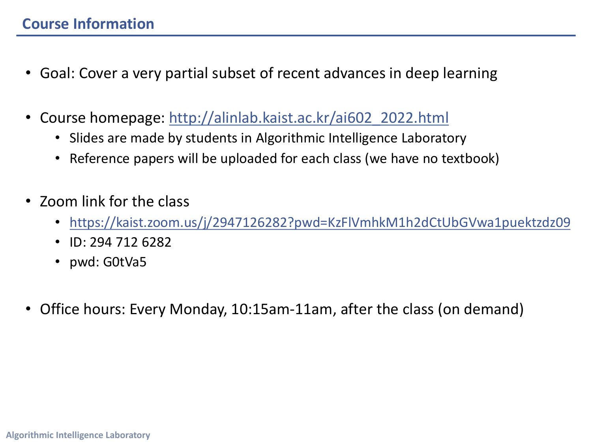## **Cour[se Information](https://kaist.zoom.us/j/2947126282?pwd=KzFlVmhkM1h2dCtUbGVwa1puektzdz09)**

- Goal: Cover a very partial subset of recent advances in deep learning
- Course homepage: http://alinlab.kaist.ac.kr/ai602\_2022.html
	- Slides are made by students in Algorithmic Intelligence Laboratory
	- Reference papers will be uploaded for each class (we have no textbook)
- Zoom link for the class
	- https://kaist.zoom.us/j/2947126282?pwd=KzFlVmhkM1h2dCtUbGVwa1
	- ID: 294 712 6282
	- pwd: G0tVa5
- Office hours: Every Monday, 10:15am-11am, after the class (on dema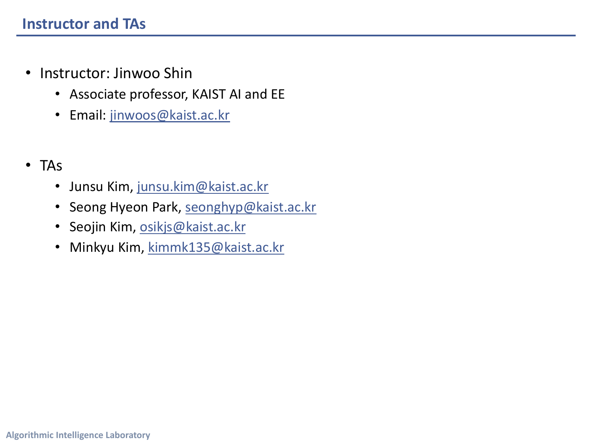#### **Instructor and TA[s](mailto:osikjs@kaist.ac.kr)**

- Instructor: Jinwoo Shin
	- Associate professor, KAIST AI and EE
	- Email: jinwoos@kaist.ac.kr

#### • TAs

- Junsu Kim, junsu.kim@kaist.ac.kr
- Seong Hyeon Park, seonghyp@kaist.ac.kr
- Seojin Kim, osikjs@kaist.ac.kr
- Minkyu Kim, kimmk135@kaist.ac.kr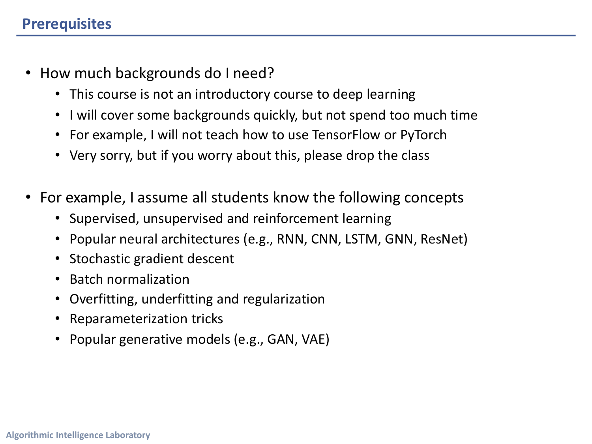#### **Prerequisites**

- How much backgrounds do I need?
	- This course is not an introductory course to deep learning
	- I will cover some backgrounds quickly, but not spend too much time
	- For example, I will not teach how to use TensorFlow or PyTorch
	- Very sorry, but if you worry about this, please drop the class
- For example, I assume all students know the following concepts
	- Supervised, unsupervised and reinforcement learning
	- Popular neural architectures (e.g., RNN, CNN, LSTM, GNN, ResNet)
	- Stochastic gradient descent
	- Batch normalization
	- Overfitting, underfitting and regularization
	- Reparameterization tricks
	- Popular generative models (e.g., GAN, VAE)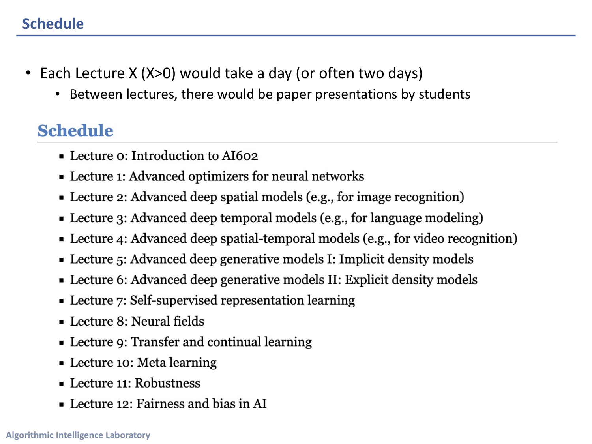### **Schedule**

- Each Lecture X (X>0) would take a day (or often two days)
	- Between lectures, there would be paper presentations by students

# **Schedule**

- Lecture o: Introduction to AI602
- Lecture 1: Advanced optimizers for neural networks
- Lecture 2: Advanced deep spatial models (e.g., for image recognition)
- Lecture 3: Advanced deep temporal models (e.g., for language modeling)
- Lecture 4: Advanced deep spatial-temporal models (e.g., for video recognition)
- Lecture 5: Advanced deep generative models I: Implicit density models
- Lecture 6: Advanced deep generative models II: Explicit density models
- Lecture 7: Self-supervised representation learning
- $\blacksquare$  Lecture 8: Neural fields
- Lecture 9: Transfer and continual learning
- Lecture 10: Meta learning
- Lecture 11: Robustness
- Lecture 12: Fairness and bias in AI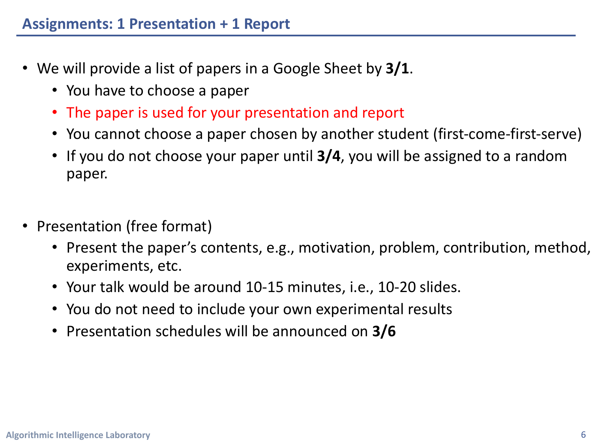- We will provide a list of papers in a Google Sheet by **3/1**.
	- You have to choose a paper
	- The paper is used for your presentation and report
	- You cannot choose a paper chosen by another student (first-come-first-serve)
	- If you do not choose your paper until **3/4**, you will be assigned to a random paper.
- Presentation (free format)
	- Present the paper's contents, e.g., motivation, problem, contribution, method, experiments, etc.
	- Your talk would be around 10-15 minutes, i.e., 10-20 slides.
	- You do not need to include your own experimental results
	- Presentation schedules will be announced on **3/6**